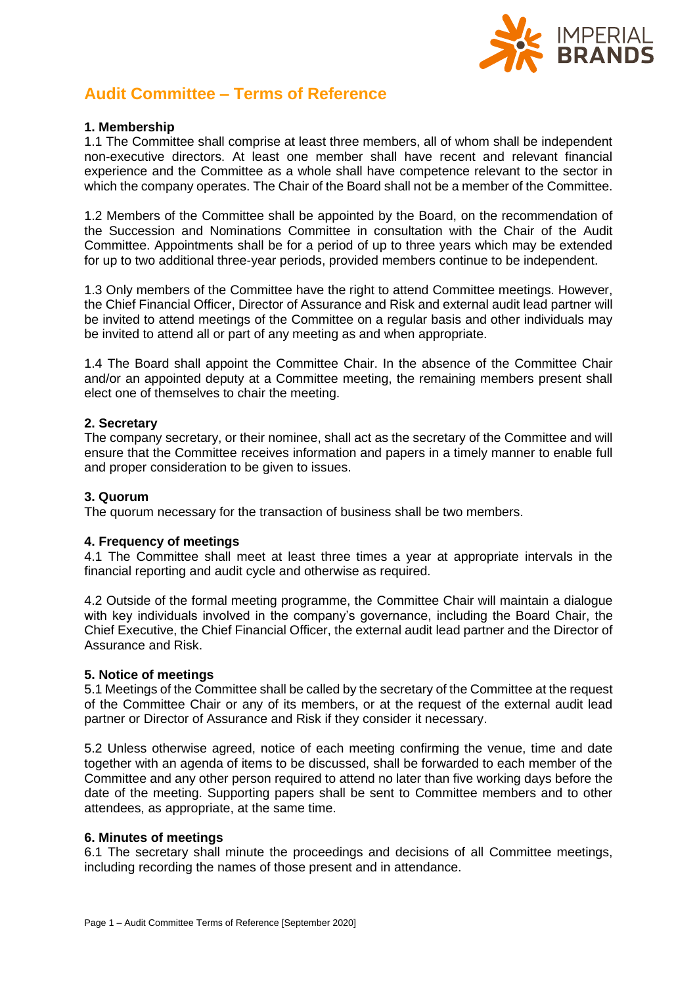

# **Audit Committee – Terms of Reference**

## **1. Membership**

1.1 The Committee shall comprise at least three members, all of whom shall be independent non-executive directors. At least one member shall have recent and relevant financial experience and the Committee as a whole shall have competence relevant to the sector in which the company operates. The Chair of the Board shall not be a member of the Committee.

1.2 Members of the Committee shall be appointed by the Board, on the recommendation of the Succession and Nominations Committee in consultation with the Chair of the Audit Committee. Appointments shall be for a period of up to three years which may be extended for up to two additional three-year periods, provided members continue to be independent.

1.3 Only members of the Committee have the right to attend Committee meetings. However, the Chief Financial Officer, Director of Assurance and Risk and external audit lead partner will be invited to attend meetings of the Committee on a regular basis and other individuals may be invited to attend all or part of any meeting as and when appropriate.

1.4 The Board shall appoint the Committee Chair. In the absence of the Committee Chair and/or an appointed deputy at a Committee meeting, the remaining members present shall elect one of themselves to chair the meeting.

## **2. Secretary**

The company secretary, or their nominee, shall act as the secretary of the Committee and will ensure that the Committee receives information and papers in a timely manner to enable full and proper consideration to be given to issues.

# **3. Quorum**

The quorum necessary for the transaction of business shall be two members.

# **4. Frequency of meetings**

4.1 The Committee shall meet at least three times a year at appropriate intervals in the financial reporting and audit cycle and otherwise as required.

4.2 Outside of the formal meeting programme, the Committee Chair will maintain a dialogue with key individuals involved in the company's governance, including the Board Chair, the Chief Executive, the Chief Financial Officer, the external audit lead partner and the Director of Assurance and Risk.

#### **5. Notice of meetings**

5.1 Meetings of the Committee shall be called by the secretary of the Committee at the request of the Committee Chair or any of its members, or at the request of the external audit lead partner or Director of Assurance and Risk if they consider it necessary.

5.2 Unless otherwise agreed, notice of each meeting confirming the venue, time and date together with an agenda of items to be discussed, shall be forwarded to each member of the Committee and any other person required to attend no later than five working days before the date of the meeting. Supporting papers shall be sent to Committee members and to other attendees, as appropriate, at the same time.

#### **6. Minutes of meetings**

6.1 The secretary shall minute the proceedings and decisions of all Committee meetings, including recording the names of those present and in attendance.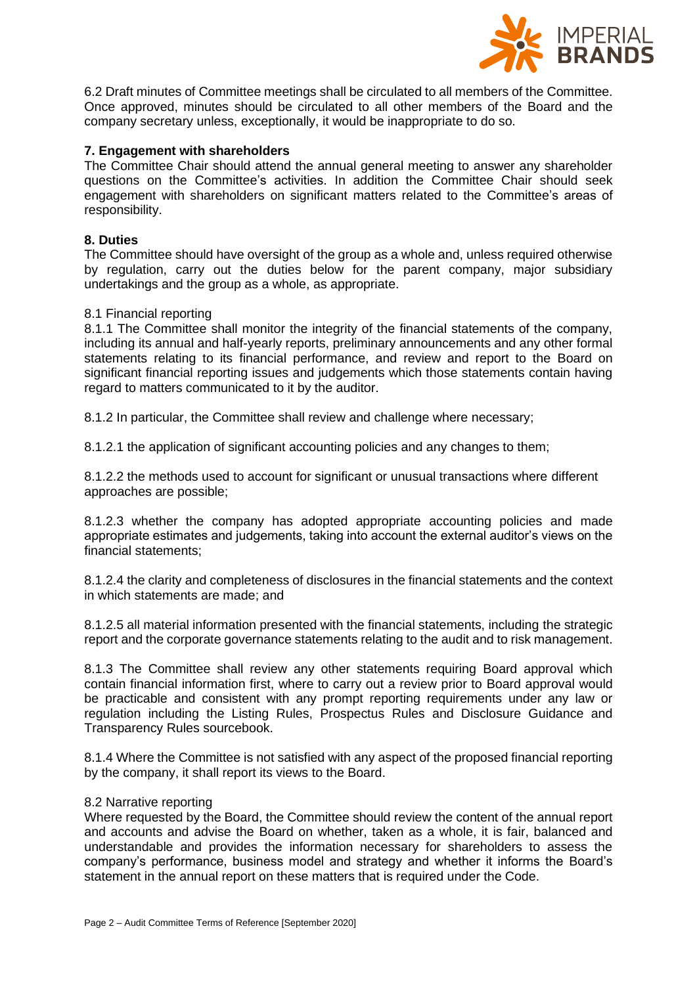

6.2 Draft minutes of Committee meetings shall be circulated to all members of the Committee. Once approved, minutes should be circulated to all other members of the Board and the company secretary unless, exceptionally, it would be inappropriate to do so.

## **7. Engagement with shareholders**

The Committee Chair should attend the annual general meeting to answer any shareholder questions on the Committee's activities. In addition the Committee Chair should seek engagement with shareholders on significant matters related to the Committee's areas of responsibility.

#### **8. Duties**

The Committee should have oversight of the group as a whole and, unless required otherwise by regulation, carry out the duties below for the parent company, major subsidiary undertakings and the group as a whole, as appropriate.

#### 8.1 Financial reporting

8.1.1 The Committee shall monitor the integrity of the financial statements of the company, including its annual and half-yearly reports, preliminary announcements and any other formal statements relating to its financial performance, and review and report to the Board on significant financial reporting issues and judgements which those statements contain having regard to matters communicated to it by the auditor.

8.1.2 In particular, the Committee shall review and challenge where necessary;

8.1.2.1 the application of significant accounting policies and any changes to them;

8.1.2.2 the methods used to account for significant or unusual transactions where different approaches are possible;

8.1.2.3 whether the company has adopted appropriate accounting policies and made appropriate estimates and judgements, taking into account the external auditor's views on the financial statements;

8.1.2.4 the clarity and completeness of disclosures in the financial statements and the context in which statements are made; and

8.1.2.5 all material information presented with the financial statements, including the strategic report and the corporate governance statements relating to the audit and to risk management.

8.1.3 The Committee shall review any other statements requiring Board approval which contain financial information first, where to carry out a review prior to Board approval would be practicable and consistent with any prompt reporting requirements under any law or regulation including the Listing Rules, Prospectus Rules and Disclosure Guidance and Transparency Rules sourcebook.

8.1.4 Where the Committee is not satisfied with any aspect of the proposed financial reporting by the company, it shall report its views to the Board.

#### 8.2 Narrative reporting

Where requested by the Board, the Committee should review the content of the annual report and accounts and advise the Board on whether, taken as a whole, it is fair, balanced and understandable and provides the information necessary for shareholders to assess the company's performance, business model and strategy and whether it informs the Board's statement in the annual report on these matters that is required under the Code.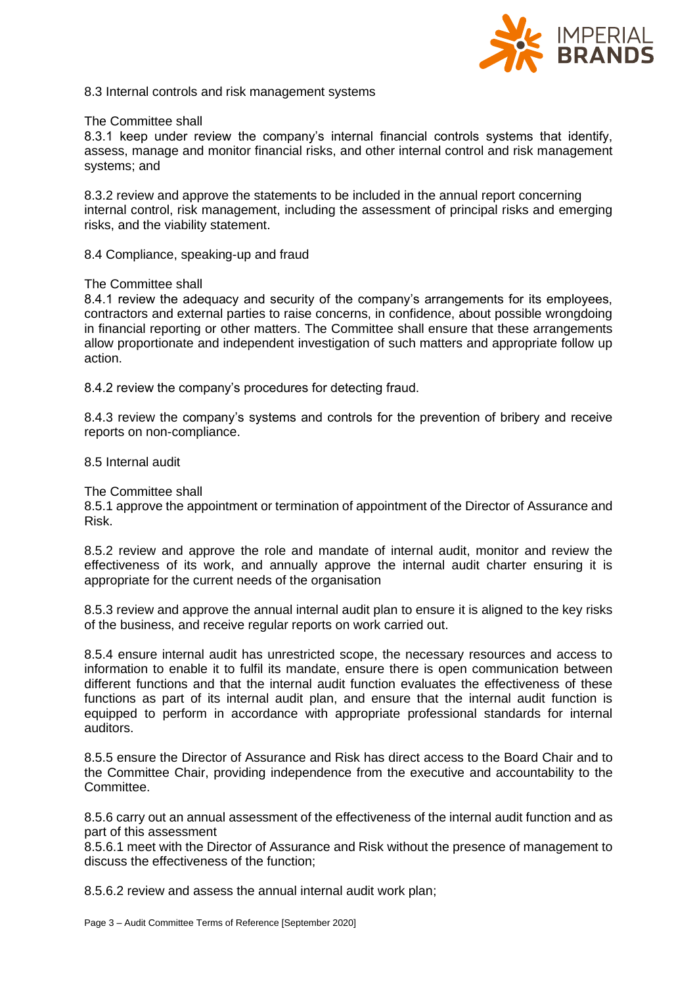

8.3 Internal controls and risk management systems

#### The Committee shall

8.3.1 keep under review the company's internal financial controls systems that identify, assess, manage and monitor financial risks, and other internal control and risk management systems; and

8.3.2 review and approve the statements to be included in the annual report concerning internal control, risk management, including the assessment of principal risks and emerging risks, and the viability statement.

8.4 Compliance, speaking-up and fraud

#### The Committee shall

8.4.1 review the adequacy and security of the company's arrangements for its employees, contractors and external parties to raise concerns, in confidence, about possible wrongdoing in financial reporting or other matters. The Committee shall ensure that these arrangements allow proportionate and independent investigation of such matters and appropriate follow up action.

8.4.2 review the company's procedures for detecting fraud.

8.4.3 review the company's systems and controls for the prevention of bribery and receive reports on non-compliance.

#### 8.5 Internal audit

The Committee shall

8.5.1 approve the appointment or termination of appointment of the Director of Assurance and Risk.

8.5.2 review and approve the role and mandate of internal audit, monitor and review the effectiveness of its work, and annually approve the internal audit charter ensuring it is appropriate for the current needs of the organisation

8.5.3 review and approve the annual internal audit plan to ensure it is aligned to the key risks of the business, and receive regular reports on work carried out.

8.5.4 ensure internal audit has unrestricted scope, the necessary resources and access to information to enable it to fulfil its mandate, ensure there is open communication between different functions and that the internal audit function evaluates the effectiveness of these functions as part of its internal audit plan, and ensure that the internal audit function is equipped to perform in accordance with appropriate professional standards for internal auditors.

8.5.5 ensure the Director of Assurance and Risk has direct access to the Board Chair and to the Committee Chair, providing independence from the executive and accountability to the Committee.

8.5.6 carry out an annual assessment of the effectiveness of the internal audit function and as part of this assessment

8.5.6.1 meet with the Director of Assurance and Risk without the presence of management to discuss the effectiveness of the function;

8.5.6.2 review and assess the annual internal audit work plan;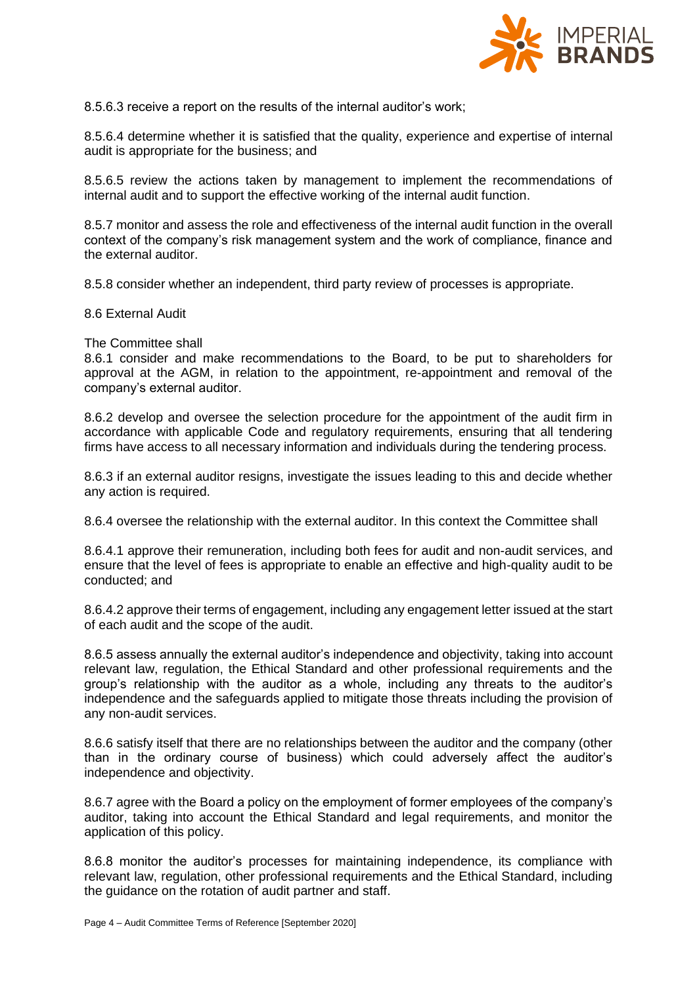

8.5.6.3 receive a report on the results of the internal auditor's work;

8.5.6.4 determine whether it is satisfied that the quality, experience and expertise of internal audit is appropriate for the business; and

8.5.6.5 review the actions taken by management to implement the recommendations of internal audit and to support the effective working of the internal audit function.

8.5.7 monitor and assess the role and effectiveness of the internal audit function in the overall context of the company's risk management system and the work of compliance, finance and the external auditor.

8.5.8 consider whether an independent, third party review of processes is appropriate.

8.6 External Audit

The Committee shall

8.6.1 consider and make recommendations to the Board, to be put to shareholders for approval at the AGM, in relation to the appointment, re-appointment and removal of the company's external auditor.

8.6.2 develop and oversee the selection procedure for the appointment of the audit firm in accordance with applicable Code and regulatory requirements, ensuring that all tendering firms have access to all necessary information and individuals during the tendering process.

8.6.3 if an external auditor resigns, investigate the issues leading to this and decide whether any action is required.

8.6.4 oversee the relationship with the external auditor. In this context the Committee shall

8.6.4.1 approve their remuneration, including both fees for audit and non-audit services, and ensure that the level of fees is appropriate to enable an effective and high-quality audit to be conducted; and

8.6.4.2 approve their terms of engagement, including any engagement letter issued at the start of each audit and the scope of the audit.

8.6.5 assess annually the external auditor's independence and objectivity, taking into account relevant law, regulation, the Ethical Standard and other professional requirements and the group's relationship with the auditor as a whole, including any threats to the auditor's independence and the safeguards applied to mitigate those threats including the provision of any non-audit services.

8.6.6 satisfy itself that there are no relationships between the auditor and the company (other than in the ordinary course of business) which could adversely affect the auditor's independence and objectivity.

8.6.7 agree with the Board a policy on the employment of former employees of the company's auditor, taking into account the Ethical Standard and legal requirements, and monitor the application of this policy.

8.6.8 monitor the auditor's processes for maintaining independence, its compliance with relevant law, regulation, other professional requirements and the Ethical Standard, including the guidance on the rotation of audit partner and staff.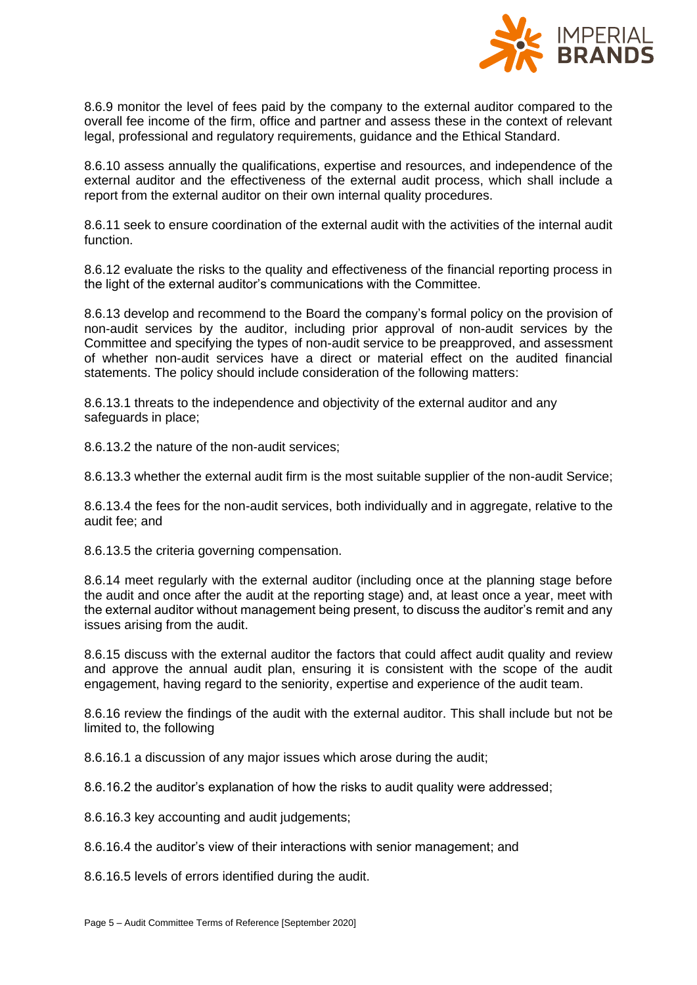

8.6.9 monitor the level of fees paid by the company to the external auditor compared to the overall fee income of the firm, office and partner and assess these in the context of relevant legal, professional and regulatory requirements, guidance and the Ethical Standard.

8.6.10 assess annually the qualifications, expertise and resources, and independence of the external auditor and the effectiveness of the external audit process, which shall include a report from the external auditor on their own internal quality procedures.

8.6.11 seek to ensure coordination of the external audit with the activities of the internal audit function.

8.6.12 evaluate the risks to the quality and effectiveness of the financial reporting process in the light of the external auditor's communications with the Committee.

8.6.13 develop and recommend to the Board the company's formal policy on the provision of non-audit services by the auditor, including prior approval of non-audit services by the Committee and specifying the types of non-audit service to be preapproved, and assessment of whether non-audit services have a direct or material effect on the audited financial statements. The policy should include consideration of the following matters:

8.6.13.1 threats to the independence and objectivity of the external auditor and any safeguards in place;

8.6.13.2 the nature of the non-audit services;

8.6.13.3 whether the external audit firm is the most suitable supplier of the non-audit Service;

8.6.13.4 the fees for the non-audit services, both individually and in aggregate, relative to the audit fee; and

8.6.13.5 the criteria governing compensation.

8.6.14 meet regularly with the external auditor (including once at the planning stage before the audit and once after the audit at the reporting stage) and, at least once a year, meet with the external auditor without management being present, to discuss the auditor's remit and any issues arising from the audit.

8.6.15 discuss with the external auditor the factors that could affect audit quality and review and approve the annual audit plan, ensuring it is consistent with the scope of the audit engagement, having regard to the seniority, expertise and experience of the audit team.

8.6.16 review the findings of the audit with the external auditor. This shall include but not be limited to, the following

8.6.16.1 a discussion of any major issues which arose during the audit;

8.6.16.2 the auditor's explanation of how the risks to audit quality were addressed;

8.6.16.3 key accounting and audit judgements;

8.6.16.4 the auditor's view of their interactions with senior management; and

8.6.16.5 levels of errors identified during the audit.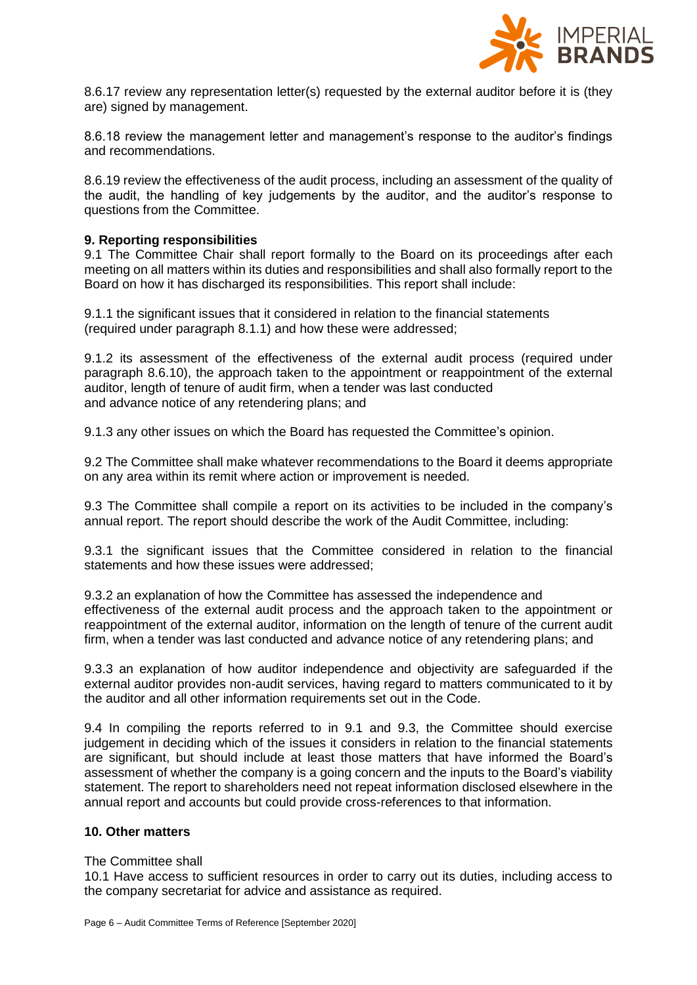

8.6.17 review any representation letter(s) requested by the external auditor before it is (they are) signed by management.

8.6.18 review the management letter and management's response to the auditor's findings and recommendations.

8.6.19 review the effectiveness of the audit process, including an assessment of the quality of the audit, the handling of key judgements by the auditor, and the auditor's response to questions from the Committee.

#### **9. Reporting responsibilities**

9.1 The Committee Chair shall report formally to the Board on its proceedings after each meeting on all matters within its duties and responsibilities and shall also formally report to the Board on how it has discharged its responsibilities. This report shall include:

9.1.1 the significant issues that it considered in relation to the financial statements (required under paragraph 8.1.1) and how these were addressed;

9.1.2 its assessment of the effectiveness of the external audit process (required under paragraph 8.6.10), the approach taken to the appointment or reappointment of the external auditor, length of tenure of audit firm, when a tender was last conducted and advance notice of any retendering plans; and

9.1.3 any other issues on which the Board has requested the Committee's opinion.

9.2 The Committee shall make whatever recommendations to the Board it deems appropriate on any area within its remit where action or improvement is needed.

9.3 The Committee shall compile a report on its activities to be included in the company's annual report. The report should describe the work of the Audit Committee, including:

9.3.1 the significant issues that the Committee considered in relation to the financial statements and how these issues were addressed;

9.3.2 an explanation of how the Committee has assessed the independence and effectiveness of the external audit process and the approach taken to the appointment or reappointment of the external auditor, information on the length of tenure of the current audit firm, when a tender was last conducted and advance notice of any retendering plans; and

9.3.3 an explanation of how auditor independence and objectivity are safeguarded if the external auditor provides non-audit services, having regard to matters communicated to it by the auditor and all other information requirements set out in the Code.

9.4 In compiling the reports referred to in 9.1 and 9.3, the Committee should exercise judgement in deciding which of the issues it considers in relation to the financial statements are significant, but should include at least those matters that have informed the Board's assessment of whether the company is a going concern and the inputs to the Board's viability statement. The report to shareholders need not repeat information disclosed elsewhere in the annual report and accounts but could provide cross-references to that information.

#### **10. Other matters**

#### The Committee shall

10.1 Have access to sufficient resources in order to carry out its duties, including access to the company secretariat for advice and assistance as required.